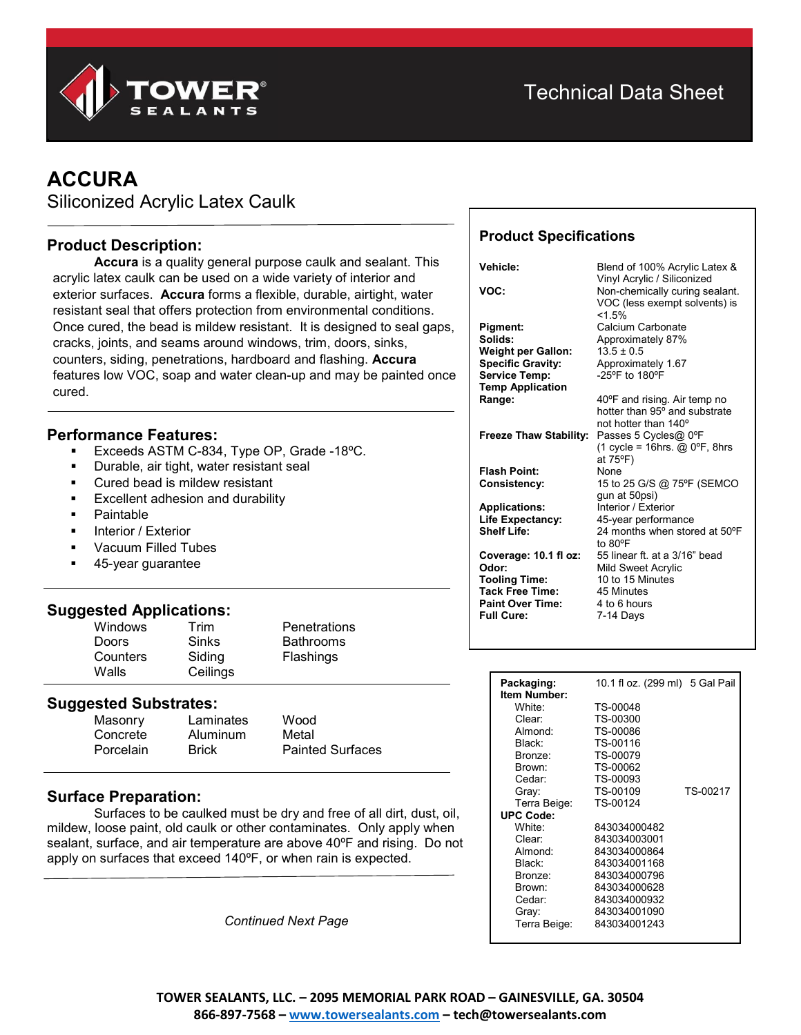

# **ACCURA**

Siliconized Acrylic Latex Caulk

# **Product Description:**

**Accura** is a quality general purpose caulk and sealant. This acrylic latex caulk can be used on a wide variety of interior and exterior surfaces. **Accura** forms a flexible, durable, airtight, water resistant seal that offers protection from environmental conditions. Once cured, the bead is mildew resistant. It is designed to seal gaps, cracks, joints, and seams around windows, trim, doors, sinks, counters, siding, penetrations, hardboard and flashing. **Accura** features low VOC, soap and water clean-up and may be painted once cured.

### **Performance Features:**

- Exceeds ASTM C-834, Type OP, Grade -18ºC.
- Durable, air tight, water resistant seal
- Cured bead is mildew resistant
- Excellent adhesion and durability
- Paintable
- Interior / Exterior
- Vacuum Filled Tubes
- 45-year guarantee

#### **Suggested Applications:**

| <b>Windows</b> | Trim     | <b>Penetrations</b> |
|----------------|----------|---------------------|
| <b>Doors</b>   | Sinks    | <b>Bathrooms</b>    |
| Counters       | Siding   | Flashings           |
| Walls          | Ceilings |                     |

#### **Suggested Substrates:**

| Masonry   | Laminates    | Wood                    |
|-----------|--------------|-------------------------|
| Concrete  | Aluminum     | Metal                   |
| Porcelain | <b>Brick</b> | <b>Painted Surfaces</b> |

#### **Surface Preparation:**

Surfaces to be caulked must be dry and free of all dirt, dust, oil, mildew, loose paint, old caulk or other contaminates. Only apply when sealant, surface, and air temperature are above 40ºF and rising. Do not apply on surfaces that exceed 140ºF, or when rain is expected.

*Continued Next Page*

# **Product Specifications**

| Vehicle:                      | Blend of 100% Acrylic Latex &<br>Vinyl Acrylic / Siliconized              |
|-------------------------------|---------------------------------------------------------------------------|
| VOC:                          | Non-chemically curing sealant.<br>VOC (less exempt solvents) is<br>< 1.5% |
| <b>Pigment:</b>               | Calcium Carbonate                                                         |
| Solids:                       | Approximately 87%                                                         |
| <b>Weight per Gallon:</b>     | $13.5 \pm 0.5$                                                            |
| <b>Specific Gravity:</b>      | Approximately 1.67                                                        |
| <b>Service Temp:</b>          | -25°F to 180°F                                                            |
| <b>Temp Application</b>       |                                                                           |
| Range:                        | 40°F and rising. Air temp no                                              |
|                               | hotter than 95° and substrate                                             |
|                               | not hotter than 140 <sup>o</sup>                                          |
| <b>Freeze Thaw Stability:</b> | Passes 5 Cycles@ 0°F                                                      |
|                               | (1 cycle = 16hrs. $@$ 0°F, 8hrs<br>at 75°F)                               |
| <b>Flash Point:</b>           | None                                                                      |
| Consistency:                  | 15 to 25 G/S @ 75°F (SEMCO                                                |
|                               | gun at 50psi)                                                             |
| <b>Applications:</b>          | Interior / Exterior                                                       |
| Life Expectancy:              | 45-year performance                                                       |
| <b>Shelf Life:</b>            | 24 months when stored at 50°F                                             |
|                               | to 80°F                                                                   |
| Coverage: 10.1 fl oz:         | 55 linear ft, at a 3/16" bead                                             |
| Odor:                         | Mild Sweet Acrylic                                                        |
| <b>Tooling Time:</b>          | 10 to 15 Minutes                                                          |
| <b>Tack Free Time:</b>        | 45 Minutes                                                                |
| <b>Paint Over Time:</b>       | 4 to 6 hours                                                              |
| <b>Full Cure:</b>             | 7-14 Days                                                                 |
|                               |                                                                           |

| Packaging:          | 10.1 fl oz. (299 ml) 5 Gal Pail |          |
|---------------------|---------------------------------|----------|
| <b>Item Number:</b> |                                 |          |
| White:              | TS-00048                        |          |
| Clear:              | TS-00300                        |          |
| Almond:             | TS-00086                        |          |
| Black <sup>-</sup>  | TS-00116                        |          |
| Bronze:             | TS-00079                        |          |
| Brown:              | TS-00062                        |          |
| Cedar:              | TS-00093                        |          |
| Gray:               | TS-00109                        | TS-00217 |
| Terra Beige:        | TS-00124                        |          |
| <b>UPC Code:</b>    |                                 |          |
| White <sup>.</sup>  | 843034000482                    |          |
| Clear:              | 843034003001                    |          |
| Almond <sup>-</sup> | 843034000864                    |          |
| Black <sup>-</sup>  | 843034001168                    |          |
| Bronze:             | 843034000796                    |          |
| Brown:              | 843034000628                    |          |
| Cedar:              | 843034000932                    |          |
| Gray:               | 843034001090                    |          |
| Terra Beige:        | 843034001243                    |          |